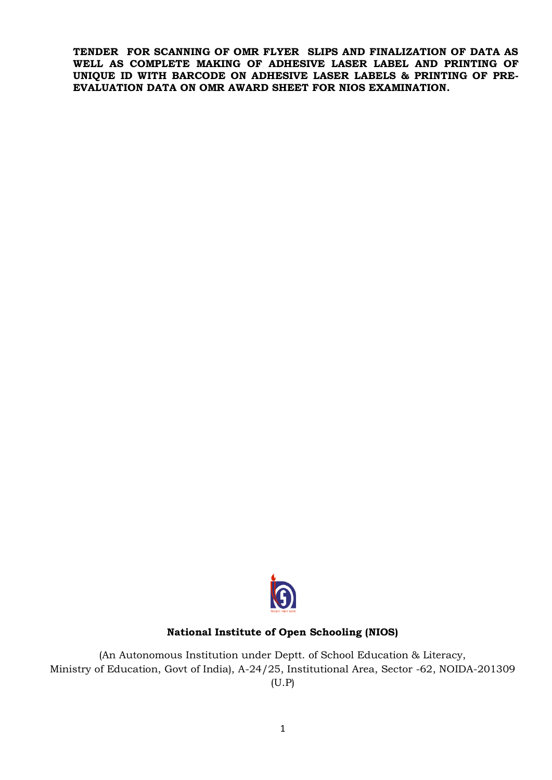**TENDER FOR SCANNING OF OMR FLYER SLIPS AND FINALIZATION OF DATA AS WELL AS COMPLETE MAKING OF ADHESIVE LASER LABEL AND PRINTING OF UNIQUE ID WITH BARCODE ON ADHESIVE LASER LABELS & PRINTING OF PRE-EVALUATION DATA ON OMR AWARD SHEET FOR NIOS EXAMINATION.**



#### **National Institute of Open Schooling (NIOS)**

(An Autonomous Institution under Deptt. of School Education & Literacy, Ministry of Education, Govt of India), A-24/25, Institutional Area, Sector -62, NOIDA-201309 (U.P)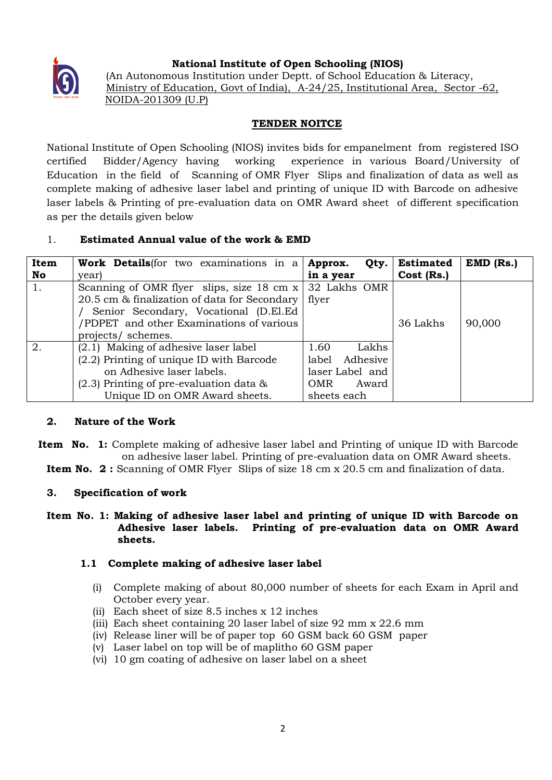

# **National Institute of Open Schooling (NIOS)**

(An Autonomous Institution under Deptt. of School Education & Literacy, Ministry of Education, Govt of India), A-24/25, Institutional Area, Sector -62, NOIDA-201309 (U.P)

# **TENDER NOITCE**

National Institute of Open Schooling (NIOS) invites bids for empanelment from registered ISO certified Bidder/Agency having working experience in various Board/University of Education in the field of Scanning of OMR Flyer Slips and finalization of data as well as complete making of adhesive laser label and printing of unique ID with Barcode on adhesive laser labels & Printing of pre-evaluation data on OMR Award sheet of different specification as per the details given below

# 1. **Estimated Annual value of the work & EMD**

| Item | Work Details for two examinations in a Approx.           | Qty.                | <b>Estimated</b> | $EMD$ (Rs.) |
|------|----------------------------------------------------------|---------------------|------------------|-------------|
| No   | year)                                                    | in a year           | Cost (Rs.)       |             |
|      | Scanning of OMR flyer slips, size 18 cm $x$ 32 Lakhs OMR |                     |                  |             |
|      | 20.5 cm & finalization of data for Secondary             | flyer               |                  |             |
|      | Senior Secondary, Vocational (D.El.Ed                    |                     |                  |             |
|      | /PDPET and other Examinations of various                 |                     | 36 Lakhs         | 90,000      |
|      | projects/ schemes.                                       |                     |                  |             |
| 2.   | (2.1) Making of adhesive laser label                     | Lakhs<br>1.60       |                  |             |
|      | (2.2) Printing of unique ID with Barcode                 | label Adhesive      |                  |             |
|      | on Adhesive laser labels.                                | laser Label and     |                  |             |
|      | $(2.3)$ Printing of pre-evaluation data $\&$             | <b>OMR</b><br>Award |                  |             |
|      | Unique ID on OMR Award sheets.                           | sheets each         |                  |             |

## **2. Nature of the Work**

- **Item No. 1:** Complete making of adhesive laser label and Printing of unique ID with Barcode on adhesive laser label. Printing of pre-evaluation data on OMR Award sheets.
	- **Item No. 2:** Scanning of OMR Flyer Slips of size 18 cm x 20.5 cm and finalization of data.

## **3. Specification of work**

## **Item No. 1: Making of adhesive laser label and printing of unique ID with Barcode on Adhesive laser labels. Printing of pre-evaluation data on OMR Award sheets.**

## **1.1 Complete making of adhesive laser label**

- (i) Complete making of about 80,000 number of sheets for each Exam in April and October every year.
- (ii) Each sheet of size 8.5 inches x 12 inches
- (iii) Each sheet containing 20 laser label of size 92 mm x 22.6 mm
- (iv) Release liner will be of paper top 60 GSM back 60 GSM paper
- (v) Laser label on top will be of maplitho 60 GSM paper
- (vi) 10 gm coating of adhesive on laser label on a sheet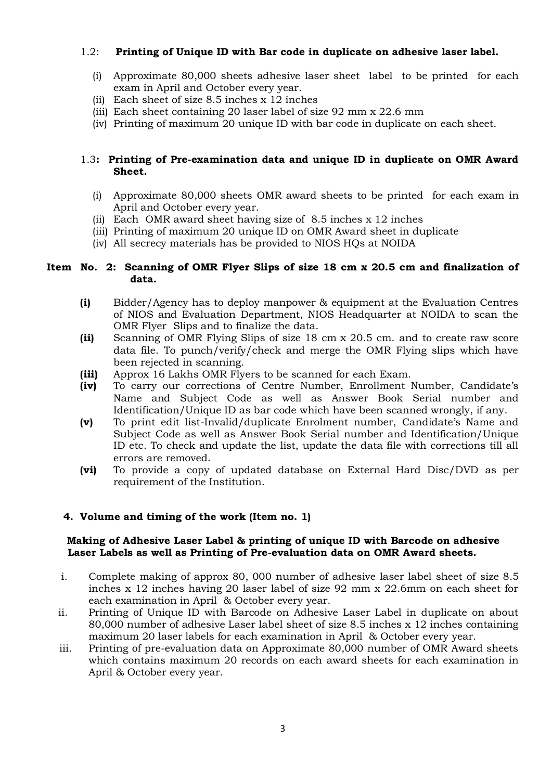## 1.2: **Printing of Unique ID with Bar code in duplicate on adhesive laser label.**

- (i) Approximate 80,000 sheets adhesive laser sheet label to be printed for each exam in April and October every year.
- (ii) Each sheet of size 8.5 inches x 12 inches
- (iii) Each sheet containing 20 laser label of size 92 mm x 22.6 mm
- (iv) Printing of maximum 20 unique ID with bar code in duplicate on each sheet.

## 1.3**: Printing of Pre-examination data and unique ID in duplicate on OMR Award Sheet.**

- (i) Approximate 80,000 sheets OMR award sheets to be printed for each exam in April and October every year.
- (ii) Each OMR award sheet having size of 8.5 inches x 12 inches
- (iii) Printing of maximum 20 unique ID on OMR Award sheet in duplicate
- (iv) All secrecy materials has be provided to NIOS HQs at NOIDA

### **Item No. 2: Scanning of OMR Flyer Slips of size 18 cm x 20.5 cm and finalization of data.**

- **(i)** Bidder/Agency has to deploy manpower & equipment at the Evaluation Centres of NIOS and Evaluation Department, NIOS Headquarter at NOIDA to scan the OMR Flyer Slips and to finalize the data.
- **(ii)** Scanning of OMR Flying Slips of size 18 cm x 20.5 cm. and to create raw score data file. To punch/verify/check and merge the OMR Flying slips which have been rejected in scanning.
- **(iii)** Approx 16 Lakhs OMR Flyers to be scanned for each Exam.
- **(iv)** To carry our corrections of Centre Number, Enrollment Number, Candidate's Name and Subject Code as well as Answer Book Serial number and Identification/Unique ID as bar code which have been scanned wrongly, if any.
- **(v)** To print edit list-Invalid/duplicate Enrolment number, Candidate's Name and Subject Code as well as Answer Book Serial number and Identification/Unique ID etc. To check and update the list, update the data file with corrections till all errors are removed.
- **(vi)** To provide a copy of updated database on External Hard Disc/DVD as per requirement of the Institution.

#### **4. Volume and timing of the work (Item no. 1)**

### **Making of Adhesive Laser Label & printing of unique ID with Barcode on adhesive Laser Labels as well as Printing of Pre-evaluation data on OMR Award sheets.**

- i. Complete making of approx 80, 000 number of adhesive laser label sheet of size 8.5 inches x 12 inches having 20 laser label of size 92 mm x 22.6mm on each sheet for each examination in April & October every year.
- ii. Printing of Unique ID with Barcode on Adhesive Laser Label in duplicate on about 80,000 number of adhesive Laser label sheet of size 8.5 inches x 12 inches containing maximum 20 laser labels for each examination in April & October every year.
- iii. Printing of pre-evaluation data on Approximate 80,000 number of OMR Award sheets which contains maximum 20 records on each award sheets for each examination in April & October every year.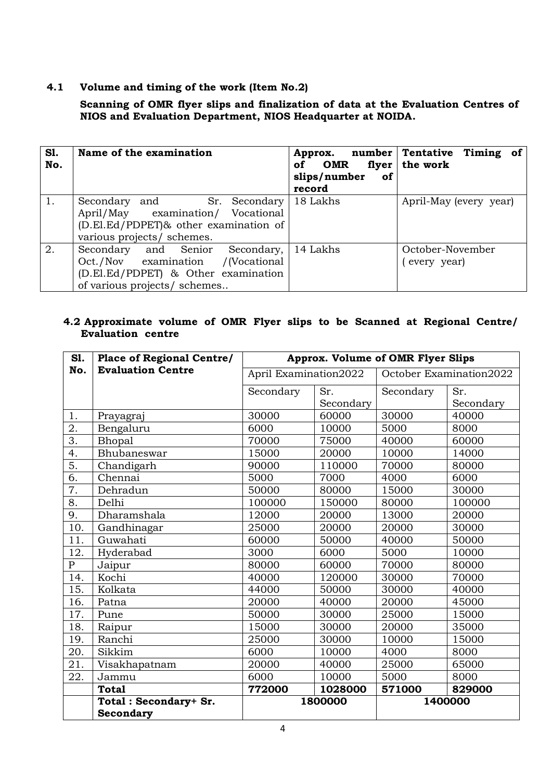## **4.1 Volume and timing of the work (Item No.2)**

## **Scanning of OMR flyer slips and finalization of data at the Evaluation Centres of NIOS and Evaluation Department, NIOS Headquarter at NOIDA.**

| S1.<br>No. | Name of the examination                                                                                                                        | OMR<br>of<br>slips/number<br>of<br>record | Approx. number Tentative Timing of<br>flyer   the work |
|------------|------------------------------------------------------------------------------------------------------------------------------------------------|-------------------------------------------|--------------------------------------------------------|
| 1.         | Sr. Secondary<br>Secondary and<br>April/May examination/ Vocational<br>(D.El.Ed/PDPET)& other examination of<br>various projects/ schemes.     | 18 Lakhs                                  | April-May (every year)                                 |
| 2.         | Secondary and Senior<br>Secondary,<br>Oct./Nov examination /(Vocational<br>(D.El.Ed/PDPET) & Other examination<br>of various projects/ schemes | 14 Lakhs                                  | October-November<br>(every year)                       |

# **4.2 Approximate volume of OMR Flyer slips to be Scanned at Regional Centre/ Evaluation centre**

| S1.              | <b>Place of Regional Centre/</b> | <b>Approx. Volume of OMR Flyer Slips</b> |           |                         |           |
|------------------|----------------------------------|------------------------------------------|-----------|-------------------------|-----------|
| No.              | <b>Evaluation Centre</b>         | April Examination2022                    |           | October Examination2022 |           |
|                  |                                  | Secondary                                | Sr.       | Secondary               | Sr.       |
|                  |                                  |                                          | Secondary |                         | Secondary |
| 1.               | Prayagraj                        | 30000                                    | 60000     | 30000                   | 40000     |
| 2.               | Bengaluru                        | 6000                                     | 10000     | 5000                    | 8000      |
| $\overline{3}$ . | Bhopal                           | 70000                                    | 75000     | 40000                   | 60000     |
| 4.               | Bhubaneswar                      | 15000                                    | 20000     | 10000                   | 14000     |
| 5.               | Chandigarh                       | 90000                                    | 110000    | 70000                   | 80000     |
| 6.               | Chennai                          | 5000                                     | 7000      | 4000                    | 6000      |
| 7.               | Dehradun                         | 50000                                    | 80000     | 15000                   | 30000     |
| 8.               | Delhi                            | 100000                                   | 150000    | 80000                   | 100000    |
| 9.               | Dharamshala                      | 12000                                    | 20000     | 13000                   | 20000     |
| 10.              | Gandhinagar                      | 25000                                    | 20000     | 20000                   | 30000     |
| 11.              | Guwahati                         | 60000                                    | 50000     | 40000                   | 50000     |
| 12.              | Hyderabad                        | 3000                                     | 6000      | 5000                    | 10000     |
| $\mathbf{P}$     | Jaipur                           | 80000                                    | 60000     | 70000                   | 80000     |
| 14.              | Kochi                            | 40000                                    | 120000    | 30000                   | 70000     |
| 15.              | Kolkata                          | 44000                                    | 50000     | 30000                   | 40000     |
| 16.              | Patna                            | 20000                                    | 40000     | 20000                   | 45000     |
| 17.              | Pune                             | 50000                                    | 30000     | 25000                   | 15000     |
| 18.              | Raipur                           | 15000                                    | 30000     | 20000                   | 35000     |
| 19.              | Ranchi                           | 25000                                    | 30000     | 10000                   | 15000     |
| 20.              | Sikkim                           | 6000                                     | 10000     | 4000                    | 8000      |
| 21.              | Visakhapatnam                    | 20000                                    | 40000     | 25000                   | 65000     |
| 22.              | Jammu                            | 6000                                     | 10000     | 5000                    | 8000      |
|                  | <b>Total</b>                     | 772000                                   | 1028000   | 571000                  | 829000    |
|                  | Total: Secondary+ Sr.            |                                          | 1800000   |                         | 1400000   |
|                  | <b>Secondary</b>                 |                                          |           |                         |           |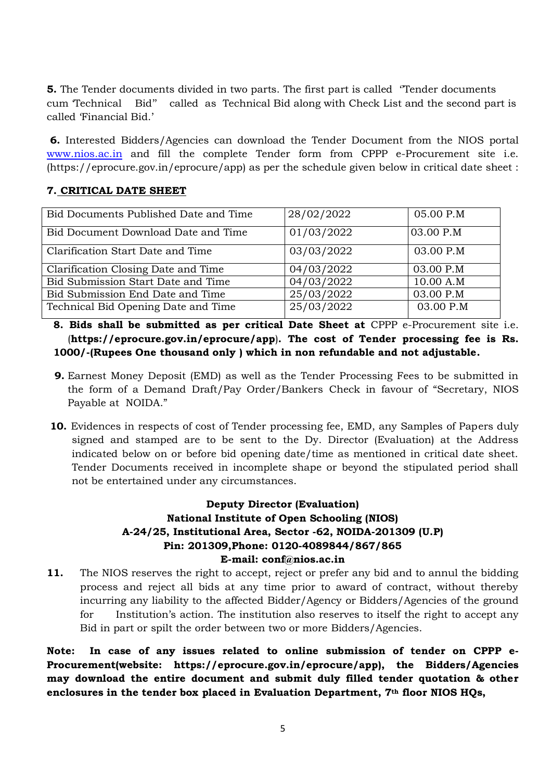**5.** The Tender documents divided in two parts. The first part is called "Tender documents" cum 'Technical Bid'' called as Technical Bid along with Check List and the second part is called 'Financial Bid.'

**6.** Interested Bidders/Agencies can download the Tender Document from the NIOS portal [www.nios.ac.in](http://www.nios.ac.in/) and fill the complete Tender form from CPPP e-Procurement site i.e. (https://eprocure.gov.in/eprocure/app) as per the schedule given below in critical date sheet :

# **7. CRITICAL DATE SHEET**

| Bid Documents Published Date and Time | 28/02/2022 | 05.00 P.M |
|---------------------------------------|------------|-----------|
| Bid Document Download Date and Time   | 01/03/2022 | 03.00 P.M |
| Clarification Start Date and Time     | 03/03/2022 | 03.00 P.M |
| Clarification Closing Date and Time   | 04/03/2022 | 03.00 P.M |
| Bid Submission Start Date and Time    | 04/03/2022 | 10.00 A.M |
| Bid Submission End Date and Time      | 25/03/2022 | 03.00 P.M |
| Technical Bid Opening Date and Time   | 25/03/2022 | 03.00 P.M |

**8. Bids shall be submitted as per critical Date Sheet at** CPPP e-Procurement site i.e. (**https://eprocure.gov.in/eprocure/app**)**. The cost of Tender processing fee is Rs. 1000/-(Rupees One thousand only ) which in non refundable and not adjustable.**

- **9.** Earnest Money Deposit (EMD) as well as the Tender Processing Fees to be submitted in the form of a Demand Draft/Pay Order/Bankers Check in favour of "Secretary, NIOS Payable at NOIDA."
- **10.** Evidences in respects of cost of Tender processing fee, EMD, any Samples of Papers duly signed and stamped are to be sent to the Dy. Director (Evaluation) at the Address indicated below on or before bid opening date/time as mentioned in critical date sheet. Tender Documents received in incomplete shape or beyond the stipulated period shall not be entertained under any circumstances.

# **Deputy Director (Evaluation) National Institute of Open Schooling (NIOS) A-24/25, Institutional Area, Sector -62, NOIDA-201309 (U.P) Pin: 201309,Phone: 0120-4089844/867/865 E-mail: conf@nios.ac.in**

**11.** The NIOS reserves the right to accept, reject or prefer any bid and to annul the bidding process and reject all bids at any time prior to award of contract, without thereby incurring any liability to the affected Bidder/Agency or Bidders/Agencies of the ground for Institution's action. The institution also reserves to itself the right to accept any Bid in part or spilt the order between two or more Bidders/Agencies.

**Note: In case of any issues related to online submission of tender on CPPP e-Procurement(website: https://eprocure.gov.in/eprocure/app), the Bidders/Agencies may download the entire document and submit duly filled tender quotation & other enclosures in the tender box placed in Evaluation Department, 7th floor NIOS HQs,**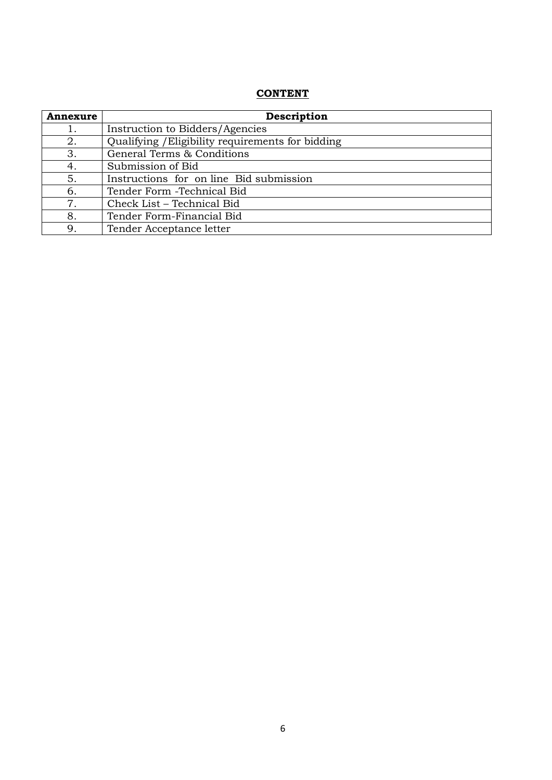# **CONTENT**

| <b>Annexure</b> | Description                                       |
|-----------------|---------------------------------------------------|
| 1.              | Instruction to Bidders/Agencies                   |
| 2.              | Qualifying / Eligibility requirements for bidding |
| 3.              | General Terms & Conditions                        |
| 4.              | Submission of Bid                                 |
| 5.              | Instructions for on line Bid submission           |
| 6.              | Tender Form - Technical Bid                       |
| 7.              | Check List – Technical Bid                        |
| 8.              | Tender Form-Financial Bid                         |
| 9.              | Tender Acceptance letter                          |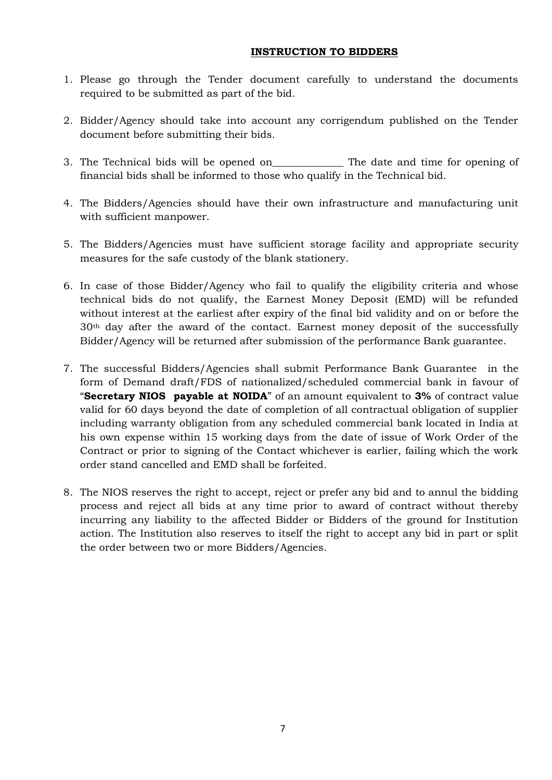## **INSTRUCTION TO BIDDERS**

- 1. Please go through the Tender document carefully to understand the documents required to be submitted as part of the bid.
- 2. Bidder/Agency should take into account any corrigendum published on the Tender document before submitting their bids.
- 3. The Technical bids will be opened on\_\_\_\_\_\_\_\_\_\_\_\_\_\_ The date and time for opening of financial bids shall be informed to those who qualify in the Technical bid.
- 4. The Bidders/Agencies should have their own infrastructure and manufacturing unit with sufficient manpower.
- 5. The Bidders/Agencies must have sufficient storage facility and appropriate security measures for the safe custody of the blank stationery.
- 6. In case of those Bidder/Agency who fail to qualify the eligibility criteria and whose technical bids do not qualify, the Earnest Money Deposit (EMD) will be refunded without interest at the earliest after expiry of the final bid validity and on or before the 30th day after the award of the contact. Earnest money deposit of the successfully Bidder/Agency will be returned after submission of the performance Bank guarantee.
- 7. The successful Bidders/Agencies shall submit Performance Bank Guarantee in the form of Demand draft/FDS of nationalized/scheduled commercial bank in favour of "**Secretary NIOS payable at NOIDA**" of an amount equivalent to **3%** of contract value valid for 60 days beyond the date of completion of all contractual obligation of supplier including warranty obligation from any scheduled commercial bank located in India at his own expense within 15 working days from the date of issue of Work Order of the Contract or prior to signing of the Contact whichever is earlier, failing which the work order stand cancelled and EMD shall be forfeited.
- 8. The NIOS reserves the right to accept, reject or prefer any bid and to annul the bidding process and reject all bids at any time prior to award of contract without thereby incurring any liability to the affected Bidder or Bidders of the ground for Institution action. The Institution also reserves to itself the right to accept any bid in part or split the order between two or more Bidders/Agencies.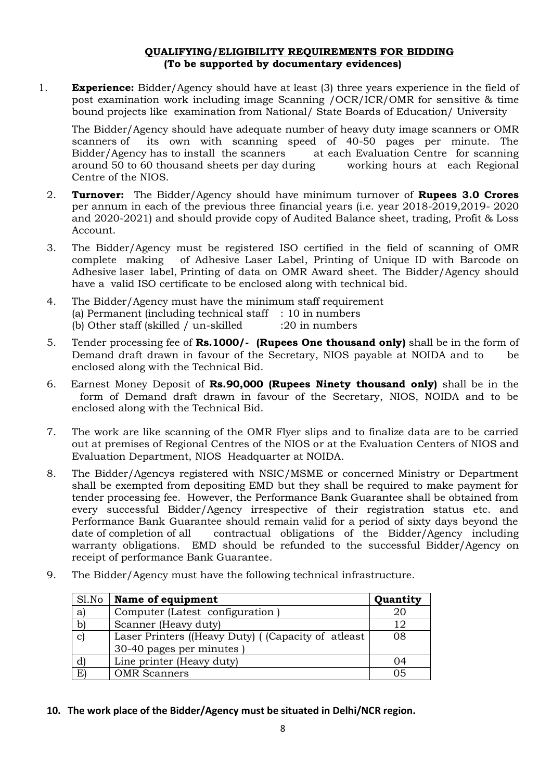## **QUALIFYING/ELIGIBILITY REQUIREMENTS FOR BIDDING (To be supported by documentary evidences)**

1. **Experience:** Bidder/Agency should have at least (3) three years experience in the field of post examination work including image Scanning /OCR/ICR/OMR for sensitive & time bound projects like examination from National/ State Boards of Education/ University

The Bidder/Agency should have adequate number of heavy duty image scanners or OMR scanners of its own with scanning speed of 40-50 pages per minute. The Bidder/Agency has to install the scanners at each Evaluation Centre for scanning around 50 to 60 thousand sheets per day during working hours at each Regional Centre of the NIOS.

- 2. **Turnover:** The Bidder/Agency should have minimum turnover of **Rupees 3.0 Crores**  per annum in each of the previous three financial years (i.e. year 2018-2019,2019- 2020 and 2020-2021) and should provide copy of Audited Balance sheet, trading, Profit & Loss Account.
- 3. The Bidder/Agency must be registered ISO certified in the field of scanning of OMR complete making of Adhesive Laser Label, Printing of Unique ID with Barcode on Adhesive laser label, Printing of data on OMR Award sheet. The Bidder/Agency should have a valid ISO certificate to be enclosed along with technical bid.
- 4. The Bidder/Agency must have the minimum staff requirement (a) Permanent (including technical staff  $\therefore$  10 in numbers (b) Other staff (skilled / un-skilled :20 in numbers
- 5. Tender processing fee of **Rs.1000/- (Rupees One thousand only)** shall be in the form of Demand draft drawn in favour of the Secretary, NIOS payable at NOIDA and to be enclosed along with the Technical Bid.
- 6. Earnest Money Deposit of **Rs.90,000 (Rupees Ninety thousand only)** shall be in the form of Demand draft drawn in favour of the Secretary, NIOS, NOIDA and to be enclosed along with the Technical Bid.
- 7. The work are like scanning of the OMR Flyer slips and to finalize data are to be carried out at premises of Regional Centres of the NIOS or at the Evaluation Centers of NIOS and Evaluation Department, NIOS Headquarter at NOIDA.
- 8. The Bidder/Agencys registered with NSIC/MSME or concerned Ministry or Department shall be exempted from depositing EMD but they shall be required to make payment for tender processing fee. However, the Performance Bank Guarantee shall be obtained from every successful Bidder/Agency irrespective of their registration status etc. and Performance Bank Guarantee should remain valid for a period of sixty days beyond the date of completion of all contractual obligations of the Bidder/Agency including warranty obligations. EMD should be refunded to the successful Bidder/Agency on receipt of performance Bank Guarantee.
	- Sl.No **Name of equipment Quantity** a) Computer (Latest configuration ) 20 b) Scanner (Heavy duty) 12 c) Laser Printers ((Heavy Duty) ( (Capacity of atleast 30-40 pages per minutes ) 08

d) Line printer (Heavy duty) 04 E) OMR Scanners 1 05

9. The Bidder/Agency must have the following technical infrastructure.

**10. The work place of the Bidder/Agency must be situated in Delhi/NCR region.**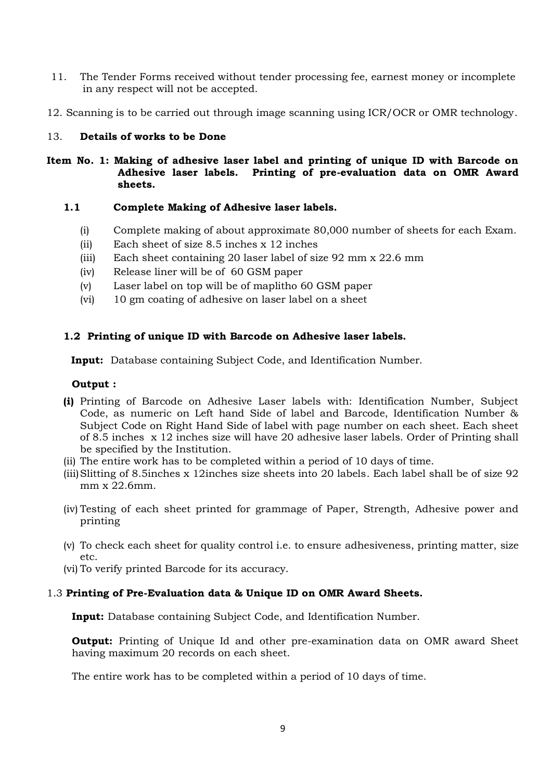- 11. The Tender Forms received without tender processing fee, earnest money or incomplete in any respect will not be accepted.
- 12. Scanning is to be carried out through image scanning using ICR/OCR or OMR technology.

## 13. **Details of works to be Done**

**Item No. 1: Making of adhesive laser label and printing of unique ID with Barcode on Adhesive laser labels. Printing of pre-evaluation data on OMR Award sheets.**

### **1.1 Complete Making of Adhesive laser labels.**

- (i) Complete making of about approximate 80,000 number of sheets for each Exam.
- (ii) Each sheet of size 8.5 inches x 12 inches
- (iii) Each sheet containing 20 laser label of size 92 mm x 22.6 mm
- (iv) Release liner will be of 60 GSM paper
- (v) Laser label on top will be of maplitho 60 GSM paper
- (vi) 10 gm coating of adhesive on laser label on a sheet

### **1.2 Printing of unique ID with Barcode on Adhesive laser labels.**

 **Input:** Database containing Subject Code, and Identification Number.

### **Output :**

- **(i)** Printing of Barcode on Adhesive Laser labels with: Identification Number, Subject Code, as numeric on Left hand Side of label and Barcode, Identification Number & Subject Code on Right Hand Side of label with page number on each sheet. Each sheet of 8.5 inches x 12 inches size will have 20 adhesive laser labels. Order of Printing shall be specified by the Institution.
- (ii) The entire work has to be completed within a period of 10 days of time.
- (iii)Slitting of 8.5inches x 12inches size sheets into 20 labels. Each label shall be of size 92 mm x 22.6mm.
- (iv) Testing of each sheet printed for grammage of Paper, Strength, Adhesive power and printing
- (v) To check each sheet for quality control i.e. to ensure adhesiveness, printing matter, size etc.
- (vi) To verify printed Barcode for its accuracy.

#### 1.3 **Printing of Pre-Evaluation data & Unique ID on OMR Award Sheets.**

**Input:** Database containing Subject Code, and Identification Number.

**Output:** Printing of Unique Id and other pre-examination data on OMR award Sheet having maximum 20 records on each sheet.

The entire work has to be completed within a period of 10 days of time.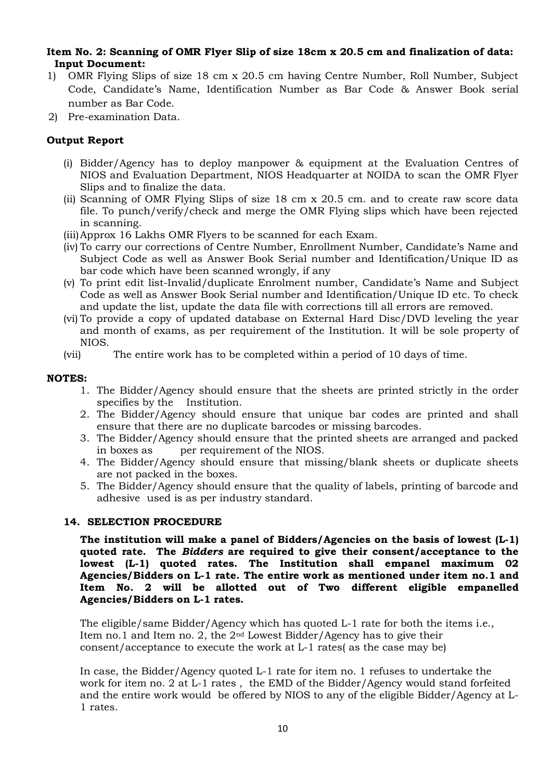## **Item No. 2: Scanning of OMR Flyer Slip of size 18cm x 20.5 cm and finalization of data: Input Document:**

- 1) OMR Flying Slips of size 18 cm x 20.5 cm having Centre Number, Roll Number, Subject Code, Candidate's Name, Identification Number as Bar Code & Answer Book serial number as Bar Code.
- 2) Pre-examination Data.

## **Output Report**

- (i) Bidder/Agency has to deploy manpower & equipment at the Evaluation Centres of NIOS and Evaluation Department, NIOS Headquarter at NOIDA to scan the OMR Flyer Slips and to finalize the data.
- (ii) Scanning of OMR Flying Slips of size 18 cm x 20.5 cm. and to create raw score data file. To punch/verify/check and merge the OMR Flying slips which have been rejected in scanning.
- (iii)Approx 16 Lakhs OMR Flyers to be scanned for each Exam.
- (iv) To carry our corrections of Centre Number, Enrollment Number, Candidate's Name and Subject Code as well as Answer Book Serial number and Identification/Unique ID as bar code which have been scanned wrongly, if any
- (v) To print edit list-Invalid/duplicate Enrolment number, Candidate's Name and Subject Code as well as Answer Book Serial number and Identification/Unique ID etc. To check and update the list, update the data file with corrections till all errors are removed.
- (vi) To provide a copy of updated database on External Hard Disc/DVD leveling the year and month of exams, as per requirement of the Institution. It will be sole property of NIOS.
- (vii) The entire work has to be completed within a period of 10 days of time.

### **NOTES:**

- 1. The Bidder/Agency should ensure that the sheets are printed strictly in the order specifies by the Institution.
- 2. The Bidder/Agency should ensure that unique bar codes are printed and shall ensure that there are no duplicate barcodes or missing barcodes.
- 3. The Bidder/Agency should ensure that the printed sheets are arranged and packed in boxes as per requirement of the NIOS.
- 4. The Bidder/Agency should ensure that missing/blank sheets or duplicate sheets are not packed in the boxes.
- 5. The Bidder/Agency should ensure that the quality of labels, printing of barcode and adhesive used is as per industry standard.

#### **14. SELECTION PROCEDURE**

**The institution will make a panel of Bidders/Agencies on the basis of lowest (L-1) quoted rate. The** *Bidders* **are required to give their consent/acceptance to the lowest (L-1) quoted rates. The Institution shall empanel maximum 02 Agencies/Bidders on L-1 rate. The entire work as mentioned under item no.1 and Item No. 2 will be allotted out of Two different eligible empanelled Agencies/Bidders on L-1 rates.**

The eligible/same Bidder/Agency which has quoted L-1 rate for both the items i.e., Item no. 1 and Item no. 2, the  $2<sup>nd</sup>$  Lowest Bidder/Agency has to give their consent/acceptance to execute the work at L-1 rates( as the case may be)

In case, the Bidder/Agency quoted L-1 rate for item no. 1 refuses to undertake the work for item no. 2 at L-1 rates , the EMD of the Bidder/Agency would stand forfeited and the entire work would be offered by NIOS to any of the eligible Bidder/Agency at L-1 rates.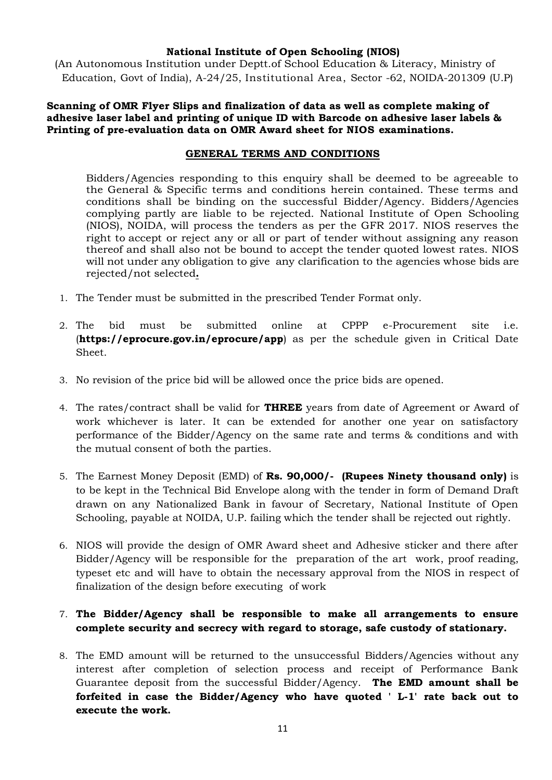## **National Institute of Open Schooling (NIOS)**

(An Autonomous Institution under Deptt.of School Education & Literacy, Ministry of Education, Govt of India), A-24/25, Institutional Area, Sector -62, NOIDA-201309 (U.P)

## **Scanning of OMR Flyer Slips and finalization of data as well as complete making of adhesive laser label and printing of unique ID with Barcode on adhesive laser labels & Printing of pre-evaluation data on OMR Award sheet for NIOS examinations.**

## **GENERAL TERMS AND CONDITIONS**

Bidders/Agencies responding to this enquiry shall be deemed to be agreeable to the General & Specific terms and conditions herein contained. These terms and conditions shall be binding on the successful Bidder/Agency. Bidders/Agencies complying partly are liable to be rejected. National Institute of Open Schooling (NIOS), NOIDA, will process the tenders as per the GFR 2017. NIOS reserves the right to accept or reject any or all or part of tender without assigning any reason thereof and shall also not be bound to accept the tender quoted lowest rates. NIOS will not under any obligation to give any clarification to the agencies whose bids are rejected/not selected**.**

- 1. The Tender must be submitted in the prescribed Tender Format only.
- 2. The bid must be submitted online at CPPP e-Procurement site i.e. (**https://eprocure.gov.in/eprocure/app**) as per the schedule given in Critical Date Sheet.
- 3. No revision of the price bid will be allowed once the price bids are opened.
- 4. The rates/contract shall be valid for **THREE** years from date of Agreement or Award of work whichever is later. It can be extended for another one year on satisfactory performance of the Bidder/Agency on the same rate and terms & conditions and with the mutual consent of both the parties.
- 5. The Earnest Money Deposit (EMD) of **Rs. 90,000/- (Rupees Ninety thousand only)** is to be kept in the Technical Bid Envelope along with the tender in form of Demand Draft drawn on any Nationalized Bank in favour of Secretary, National Institute of Open Schooling, payable at NOIDA, U.P. failing which the tender shall be rejected out rightly.
- 6. NIOS will provide the design of OMR Award sheet and Adhesive sticker and there after Bidder/Agency will be responsible for the preparation of the art work, proof reading, typeset etc and will have to obtain the necessary approval from the NIOS in respect of finalization of the design before executing of work

# 7. **The Bidder/Agency shall be responsible to make all arrangements to ensure complete security and secrecy with regard to storage, safe custody of stationary.**

8. The EMD amount will be returned to the unsuccessful Bidders/Agencies without any interest after completion of selection process and receipt of Performance Bank Guarantee deposit from the successful Bidder/Agency. **The EMD amount shall be forfeited in case the Bidder/Agency who have quoted ' L-1' rate back out to execute the work.**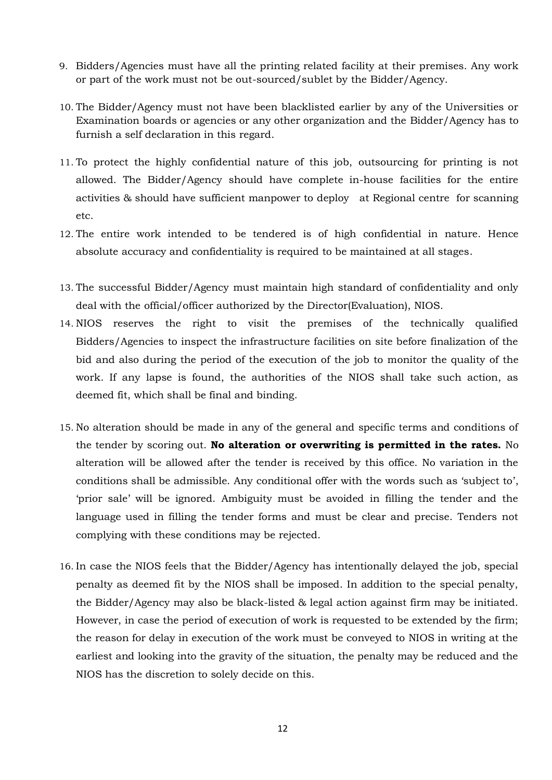- 9. Bidders/Agencies must have all the printing related facility at their premises. Any work or part of the work must not be out-sourced/sublet by the Bidder/Agency.
- 10. The Bidder/Agency must not have been blacklisted earlier by any of the Universities or Examination boards or agencies or any other organization and the Bidder/Agency has to furnish a self declaration in this regard.
- 11. To protect the highly confidential nature of this job, outsourcing for printing is not allowed. The Bidder/Agency should have complete in-house facilities for the entire activities & should have sufficient manpower to deploy at Regional centre for scanning etc.
- 12. The entire work intended to be tendered is of high confidential in nature. Hence absolute accuracy and confidentiality is required to be maintained at all stages.
- 13. The successful Bidder/Agency must maintain high standard of confidentiality and only deal with the official/officer authorized by the Director(Evaluation), NIOS.
- 14. NIOS reserves the right to visit the premises of the technically qualified Bidders/Agencies to inspect the infrastructure facilities on site before finalization of the bid and also during the period of the execution of the job to monitor the quality of the work. If any lapse is found, the authorities of the NIOS shall take such action, as deemed fit, which shall be final and binding.
- 15. No alteration should be made in any of the general and specific terms and conditions of the tender by scoring out. **No alteration or overwriting is permitted in the rates.** No alteration will be allowed after the tender is received by this office. No variation in the conditions shall be admissible. Any conditional offer with the words such as 'subject to', 'prior sale' will be ignored. Ambiguity must be avoided in filling the tender and the language used in filling the tender forms and must be clear and precise. Tenders not complying with these conditions may be rejected.
- 16. In case the NIOS feels that the Bidder/Agency has intentionally delayed the job, special penalty as deemed fit by the NIOS shall be imposed. In addition to the special penalty, the Bidder/Agency may also be black-listed & legal action against firm may be initiated. However, in case the period of execution of work is requested to be extended by the firm; the reason for delay in execution of the work must be conveyed to NIOS in writing at the earliest and looking into the gravity of the situation, the penalty may be reduced and the NIOS has the discretion to solely decide on this.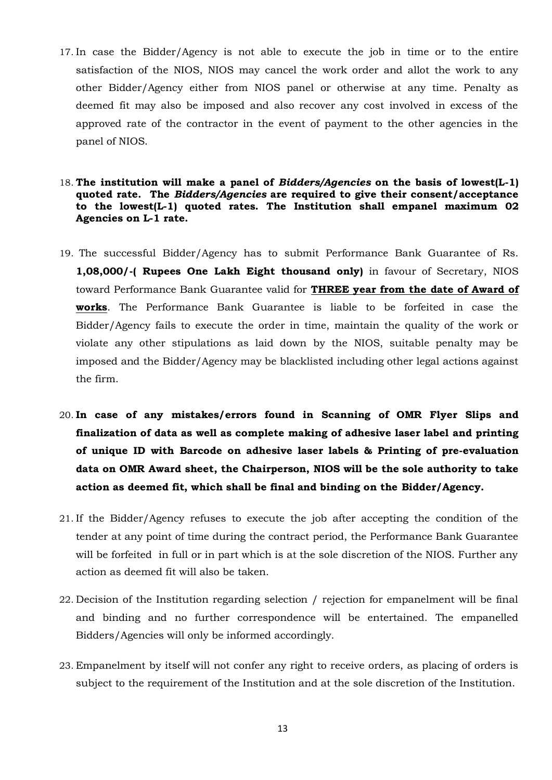- 17. In case the Bidder/Agency is not able to execute the job in time or to the entire satisfaction of the NIOS, NIOS may cancel the work order and allot the work to any other Bidder/Agency either from NIOS panel or otherwise at any time. Penalty as deemed fit may also be imposed and also recover any cost involved in excess of the approved rate of the contractor in the event of payment to the other agencies in the panel of NIOS.
- 18. **The institution will make a panel of** *Bidders/Agencies* **on the basis of lowest(L-1) quoted rate. The** *Bidders/Agencies* **are required to give their consent/acceptance to the lowest(L-1) quoted rates. The Institution shall empanel maximum 02 Agencies on L-1 rate.**
- 19. The successful Bidder/Agency has to submit Performance Bank Guarantee of Rs. **1,08,000/-( Rupees One Lakh Eight thousand only)** in favour of Secretary, NIOS toward Performance Bank Guarantee valid for **THREE year from the date of Award of works**. The Performance Bank Guarantee is liable to be forfeited in case the Bidder/Agency fails to execute the order in time, maintain the quality of the work or violate any other stipulations as laid down by the NIOS, suitable penalty may be imposed and the Bidder/Agency may be blacklisted including other legal actions against the firm.
- 20. **In case of any mistakes/errors found in Scanning of OMR Flyer Slips and finalization of data as well as complete making of adhesive laser label and printing of unique ID with Barcode on adhesive laser labels & Printing of pre-evaluation data on OMR Award sheet, the Chairperson, NIOS will be the sole authority to take action as deemed fit, which shall be final and binding on the Bidder/Agency.**
- 21. If the Bidder/Agency refuses to execute the job after accepting the condition of the tender at any point of time during the contract period, the Performance Bank Guarantee will be forfeited in full or in part which is at the sole discretion of the NIOS. Further any action as deemed fit will also be taken.
- 22. Decision of the Institution regarding selection / rejection for empanelment will be final and binding and no further correspondence will be entertained. The empanelled Bidders/Agencies will only be informed accordingly.
- 23. Empanelment by itself will not confer any right to receive orders, as placing of orders is subject to the requirement of the Institution and at the sole discretion of the Institution.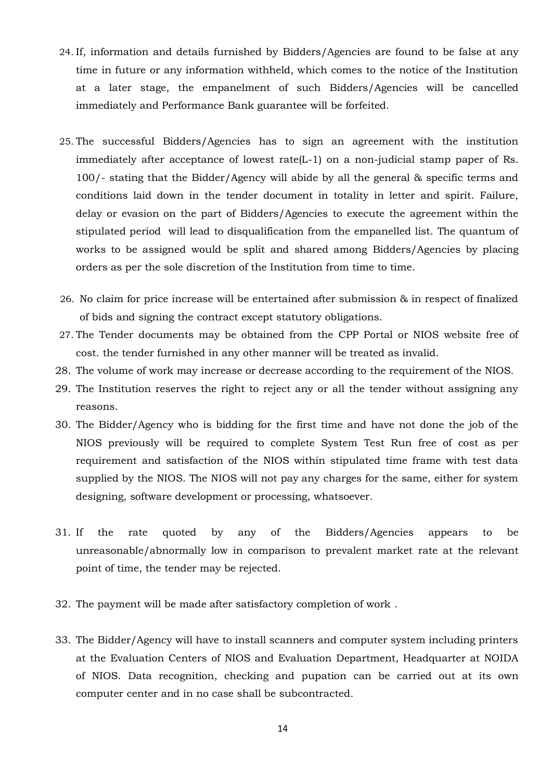- 24. If, information and details furnished by Bidders/Agencies are found to be false at any time in future or any information withheld, which comes to the notice of the Institution at a later stage, the empanelment of such Bidders/Agencies will be cancelled immediately and Performance Bank guarantee will be forfeited.
- 25. The successful Bidders/Agencies has to sign an agreement with the institution immediately after acceptance of lowest rate(L-1) on a non-judicial stamp paper of Rs. 100/- stating that the Bidder/Agency will abide by all the general & specific terms and conditions laid down in the tender document in totality in letter and spirit. Failure, delay or evasion on the part of Bidders/Agencies to execute the agreement within the stipulated period will lead to disqualification from the empanelled list. The quantum of works to be assigned would be split and shared among Bidders/Agencies by placing orders as per the sole discretion of the Institution from time to time.
- 26. No claim for price increase will be entertained after submission & in respect of finalized of bids and signing the contract except statutory obligations.
- 27. The Tender documents may be obtained from the CPP Portal or NIOS website free of cost. the tender furnished in any other manner will be treated as invalid.
- 28. The volume of work may increase or decrease according to the requirement of the NIOS.
- 29. The Institution reserves the right to reject any or all the tender without assigning any reasons.
- 30. The Bidder/Agency who is bidding for the first time and have not done the job of the NIOS previously will be required to complete System Test Run free of cost as per requirement and satisfaction of the NIOS within stipulated time frame with test data supplied by the NIOS. The NIOS will not pay any charges for the same, either for system designing, software development or processing, whatsoever.
- 31. If the rate quoted by any of the Bidders/Agencies appears to be unreasonable/abnormally low in comparison to prevalent market rate at the relevant point of time, the tender may be rejected.
- 32. The payment will be made after satisfactory completion of work .
- 33. The Bidder/Agency will have to install scanners and computer system including printers at the Evaluation Centers of NIOS and Evaluation Department, Headquarter at NOIDA of NIOS. Data recognition, checking and pupation can be carried out at its own computer center and in no case shall be subcontracted.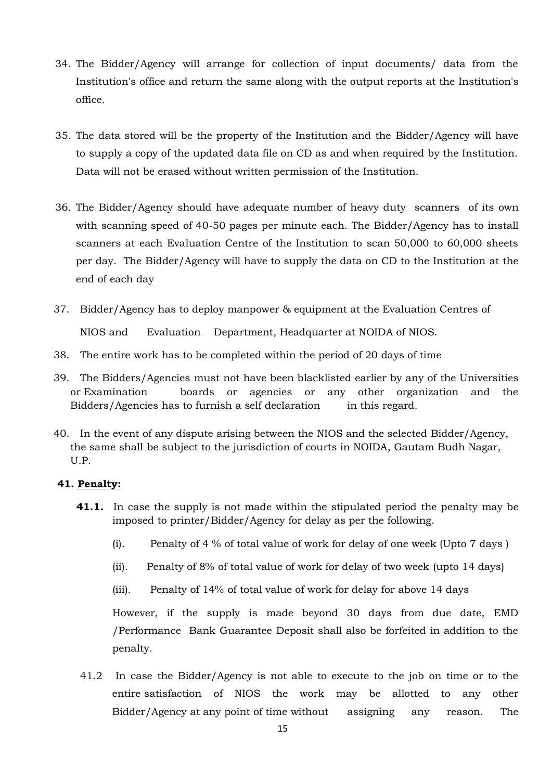- 34. The Bidder/Agency will arrange for collection of input documents/ data from the Institution's office and return the same along with the output reports at the Institution's office.
- 35. The data stored will be the property of the Institution and the Bidder/Agency will have to supply a copy of the updated data file on CD as and when required by the Institution. Data will not be erased without written permission of the Institution.
- 36. The Bidder/Agency should have adequate number of heavy duty scanners of its own with scanning speed of 40-50 pages per minute each. The Bidder/Agency has to install scanners at each Evaluation Centre of the Institution to scan 50,000 to 60,000 sheets per day. The Bidder/Agency will have to supply the data on CD to the Institution at the end of each day
- 37. Bidder/Agency has to deploy manpower & equipment at the Evaluation Centres of NIOS and Evaluation Department, Headquarter at NOIDA of NIOS.
- 38. The entire work has to be completed within the period of 20 days of time
- 39. The Bidders/Agencies must not have been blacklisted earlier by any of the Universities or Examination boards or agencies or any other organization and the Bidders/Agencies has to furnish a self declaration in this regard.
- 40. In the event of any dispute arising between the NIOS and the selected Bidder/Agency, the same shall be subject to the jurisdiction of courts in NOIDA, Gautam Budh Nagar, U.P.

# **41. Penalty:**

- **41.1.** In case the supply is not made within the stipulated period the penalty may be imposed to printer/Bidder/Agency for delay as per the following.
	- (i). Penalty of 4 % of total value of work for delay of one week (Upto 7 days )
	- (ii). Penalty of 8% of total value of work for delay of two week (upto 14 days)
	- (iii). Penalty of 14% of total value of work for delay for above 14 days

However, if the supply is made beyond 30 days from due date, EMD /Performance Bank Guarantee Deposit shall also be forfeited in addition to the penalty.

41.2 In case the Bidder/Agency is not able to execute to the job on time or to the entire satisfaction of NIOS the work may be allotted to any other Bidder/Agency at any point of time without assigning any reason. The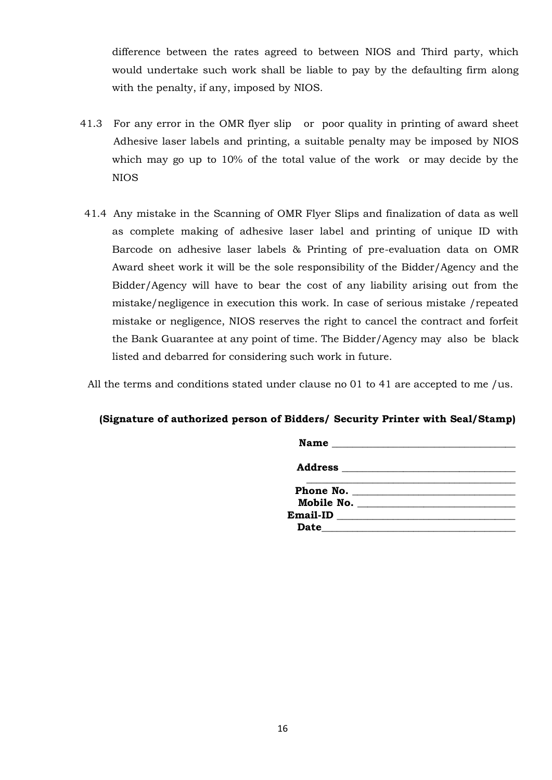difference between the rates agreed to between NIOS and Third party, which would undertake such work shall be liable to pay by the defaulting firm along with the penalty, if any, imposed by NIOS.

- 41.3 For any error in the OMR flyer slip or poor quality in printing of award sheet Adhesive laser labels and printing, a suitable penalty may be imposed by NIOS which may go up to 10% of the total value of the work or may decide by the NIOS
- 41.4 Any mistake in the Scanning of OMR Flyer Slips and finalization of data as well as complete making of adhesive laser label and printing of unique ID with Barcode on adhesive laser labels & Printing of pre-evaluation data on OMR Award sheet work it will be the sole responsibility of the Bidder/Agency and the Bidder/Agency will have to bear the cost of any liability arising out from the mistake/negligence in execution this work. In case of serious mistake /repeated mistake or negligence, NIOS reserves the right to cancel the contract and forfeit the Bank Guarantee at any point of time. The Bidder/Agency may also be black listed and debarred for considering such work in future.

All the terms and conditions stated under clause no 01 to 41 are accepted to me /us.

#### **(Signature of authorized person of Bidders/ Security Printer with Seal/Stamp)**

| <b>Date</b> | the control of the control of the control of the control of the control of the control of |
|-------------|-------------------------------------------------------------------------------------------|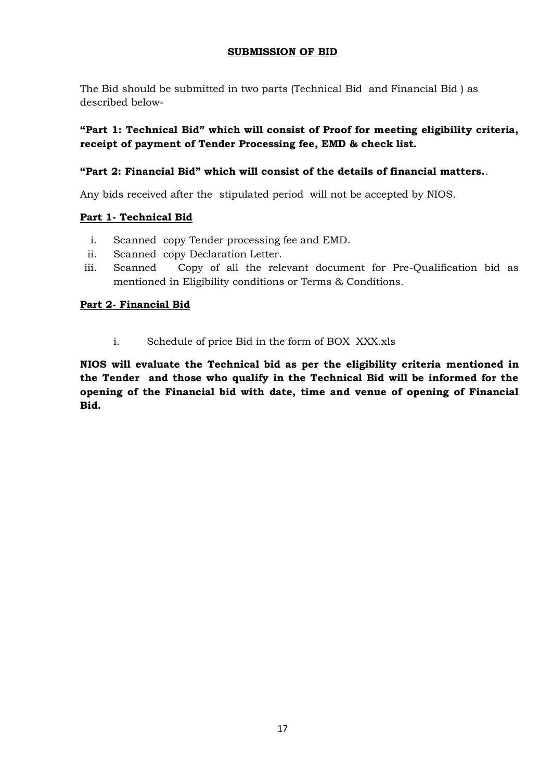# **SUBMISSION OF BID**

The Bid should be submitted in two parts (Technical Bid and Financial Bid ) as described below-

# **"Part 1: Technical Bid" which will consist of Proof for meeting eligibility criteria, receipt of payment of Tender Processing fee, EMD & check list.**

# **"Part 2: Financial Bid" which will consist of the details of financial matters.**.

Any bids received after the stipulated period will not be accepted by NIOS.

# **Part 1- Technical Bid**

- i. Scanned copy Tender processing fee and EMD.
- ii. Scanned copy Declaration Letter.
- iii. Scanned Copy of all the relevant document for Pre-Qualification bid as mentioned in Eligibility conditions or Terms & Conditions.

## **Part 2- Financial Bid**

i. Schedule of price Bid in the form of BOX XXX.xls

**NIOS will evaluate the Technical bid as per the eligibility criteria mentioned in the Tender and those who qualify in the Technical Bid will be informed for the opening of the Financial bid with date, time and venue of opening of Financial Bid.**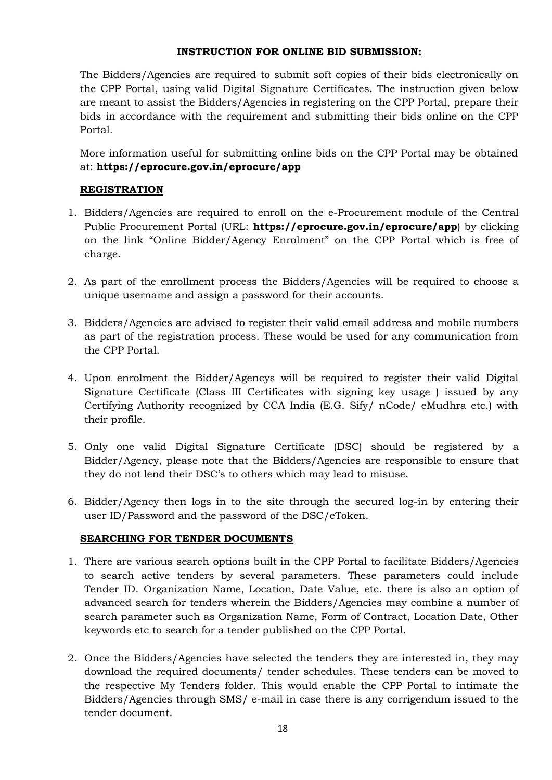# **INSTRUCTION FOR ONLINE BID SUBMISSION:**

The Bidders/Agencies are required to submit soft copies of their bids electronically on the CPP Portal, using valid Digital Signature Certificates. The instruction given below are meant to assist the Bidders/Agencies in registering on the CPP Portal, prepare their bids in accordance with the requirement and submitting their bids online on the CPP Portal.

More information useful for submitting online bids on the CPP Portal may be obtained at: **https://eprocure.gov.in/eprocure/app**

# **REGISTRATION**

- 1. Bidders/Agencies are required to enroll on the e-Procurement module of the Central Public Procurement Portal (URL: **https://eprocure.gov.in/eprocure/app**) by clicking on the link "Online Bidder/Agency Enrolment" on the CPP Portal which is free of charge.
- 2. As part of the enrollment process the Bidders/Agencies will be required to choose a unique username and assign a password for their accounts.
- 3. Bidders/Agencies are advised to register their valid email address and mobile numbers as part of the registration process. These would be used for any communication from the CPP Portal.
- 4. Upon enrolment the Bidder/Agencys will be required to register their valid Digital Signature Certificate (Class III Certificates with signing key usage ) issued by any Certifying Authority recognized by CCA India (E.G. Sify/ nCode/ eMudhra etc.) with their profile.
- 5. Only one valid Digital Signature Certificate (DSC) should be registered by a Bidder/Agency, please note that the Bidders/Agencies are responsible to ensure that they do not lend their DSC's to others which may lead to misuse.
- 6. Bidder/Agency then logs in to the site through the secured log-in by entering their user ID/Password and the password of the DSC/eToken.

# **SEARCHING FOR TENDER DOCUMENTS**

- 1. There are various search options built in the CPP Portal to facilitate Bidders/Agencies to search active tenders by several parameters. These parameters could include Tender ID. Organization Name, Location, Date Value, etc. there is also an option of advanced search for tenders wherein the Bidders/Agencies may combine a number of search parameter such as Organization Name, Form of Contract, Location Date, Other keywords etc to search for a tender published on the CPP Portal.
- 2. Once the Bidders/Agencies have selected the tenders they are interested in, they may download the required documents/ tender schedules. These tenders can be moved to the respective My Tenders folder. This would enable the CPP Portal to intimate the Bidders/Agencies through SMS/ e-mail in case there is any corrigendum issued to the tender document.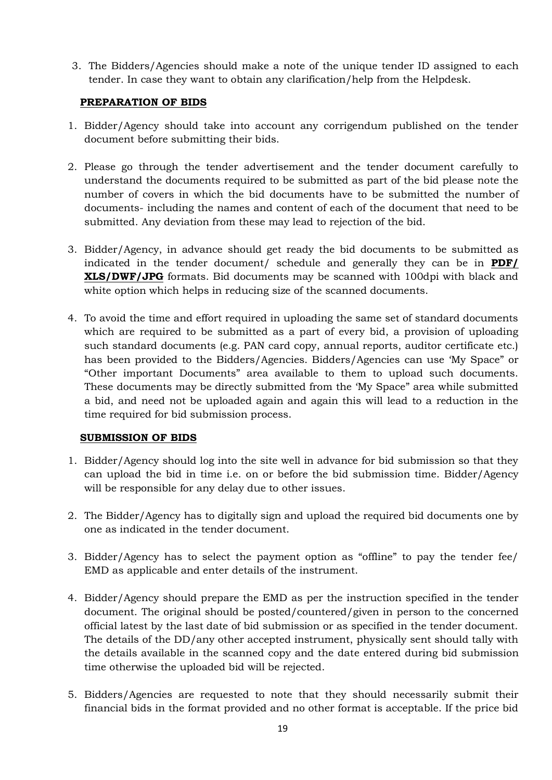3. The Bidders/Agencies should make a note of the unique tender ID assigned to each tender. In case they want to obtain any clarification/help from the Helpdesk.

## **PREPARATION OF BIDS**

- 1. Bidder/Agency should take into account any corrigendum published on the tender document before submitting their bids.
- 2. Please go through the tender advertisement and the tender document carefully to understand the documents required to be submitted as part of the bid please note the number of covers in which the bid documents have to be submitted the number of documents- including the names and content of each of the document that need to be submitted. Any deviation from these may lead to rejection of the bid.
- 3. Bidder/Agency, in advance should get ready the bid documents to be submitted as indicated in the tender document/ schedule and generally they can be in **PDF/ XLS/DWF/JPG** formats. Bid documents may be scanned with 100dpi with black and white option which helps in reducing size of the scanned documents.
- 4. To avoid the time and effort required in uploading the same set of standard documents which are required to be submitted as a part of every bid, a provision of uploading such standard documents (e.g. PAN card copy, annual reports, auditor certificate etc.) has been provided to the Bidders/Agencies. Bidders/Agencies can use 'My Space" or "Other important Documents" area available to them to upload such documents. These documents may be directly submitted from the 'My Space" area while submitted a bid, and need not be uploaded again and again this will lead to a reduction in the time required for bid submission process.

## **SUBMISSION OF BIDS**

- 1. Bidder/Agency should log into the site well in advance for bid submission so that they can upload the bid in time i.e. on or before the bid submission time. Bidder/Agency will be responsible for any delay due to other issues.
- 2. The Bidder/Agency has to digitally sign and upload the required bid documents one by one as indicated in the tender document.
- 3. Bidder/Agency has to select the payment option as "offline" to pay the tender fee/ EMD as applicable and enter details of the instrument.
- 4. Bidder/Agency should prepare the EMD as per the instruction specified in the tender document. The original should be posted/countered/given in person to the concerned official latest by the last date of bid submission or as specified in the tender document. The details of the DD/any other accepted instrument, physically sent should tally with the details available in the scanned copy and the date entered during bid submission time otherwise the uploaded bid will be rejected.
- 5. Bidders/Agencies are requested to note that they should necessarily submit their financial bids in the format provided and no other format is acceptable. If the price bid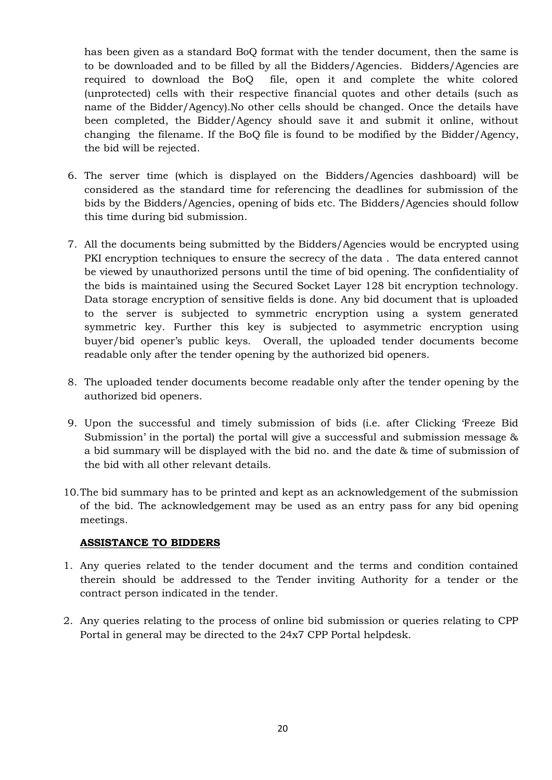has been given as a standard BoQ format with the tender document, then the same is to be downloaded and to be filled by all the Bidders/Agencies. Bidders/Agencies are required to download the BoQ file, open it and complete the white colored (unprotected) cells with their respective financial quotes and other details (such as name of the Bidder/Agency).No other cells should be changed. Once the details have been completed, the Bidder/Agency should save it and submit it online, without changing the filename. If the BoQ file is found to be modified by the Bidder/Agency, the bid will be rejected.

- 6. The server time (which is displayed on the Bidders/Agencies dashboard) will be considered as the standard time for referencing the deadlines for submission of the bids by the Bidders/Agencies, opening of bids etc. The Bidders/Agencies should follow this time during bid submission.
- 7. All the documents being submitted by the Bidders/Agencies would be encrypted using PKI encryption techniques to ensure the secrecy of the data. The data entered cannot be viewed by unauthorized persons until the time of bid opening. The confidentiality of the bids is maintained using the Secured Socket Layer 128 bit encryption technology. Data storage encryption of sensitive fields is done. Any bid document that is uploaded to the server is subjected to symmetric encryption using a system generated symmetric key. Further this key is subjected to asymmetric encryption using buyer/bid opener's public keys. Overall, the uploaded tender documents become readable only after the tender opening by the authorized bid openers.
- 8. The uploaded tender documents become readable only after the tender opening by the authorized bid openers.
- 9. Upon the successful and timely submission of bids (i.e. after Clicking 'Freeze Bid Submission' in the portal) the portal will give a successful and submission message & a bid summary will be displayed with the bid no. and the date & time of submission of the bid with all other relevant details.
- 10.The bid summary has to be printed and kept as an acknowledgement of the submission of the bid. The acknowledgement may be used as an entry pass for any bid opening meetings.

## **ASSISTANCE TO BIDDERS**

- 1. Any queries related to the tender document and the terms and condition contained therein should be addressed to the Tender inviting Authority for a tender or the contract person indicated in the tender.
- 2. Any queries relating to the process of online bid submission or queries relating to CPP Portal in general may be directed to the 24x7 CPP Portal helpdesk.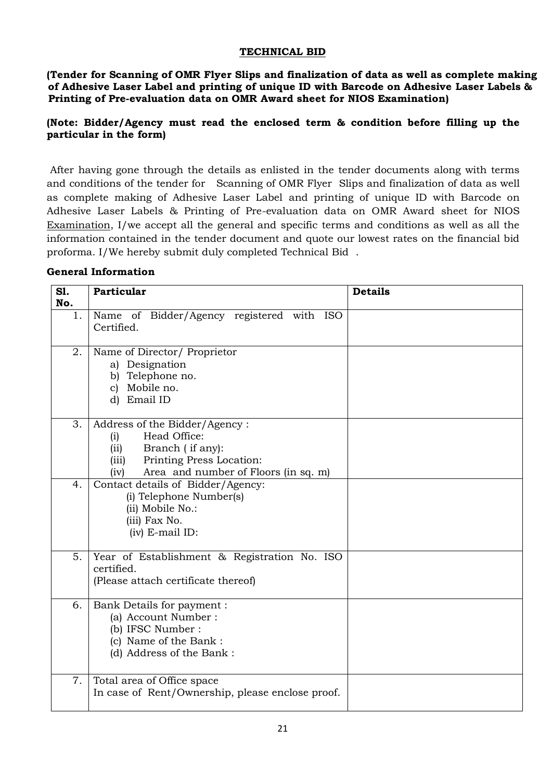## **TECHNICAL BID**

**(Tender for Scanning of OMR Flyer Slips and finalization of data as well as complete making of Adhesive Laser Label and printing of unique ID with Barcode on Adhesive Laser Labels & Printing of Pre-evaluation data on OMR Award sheet for NIOS Examination)**

## **(Note: Bidder/Agency must read the enclosed term & condition before filling up the particular in the form)**

After having gone through the details as enlisted in the tender documents along with terms and conditions of the tender for Scanning of OMR Flyer Slips and finalization of data as well as complete making of Adhesive Laser Label and printing of unique ID with Barcode on Adhesive Laser Labels & Printing of Pre-evaluation data on OMR Award sheet for NIOS Examination, I/we accept all the general and specific terms and conditions as well as all the information contained in the tender document and quote our lowest rates on the financial bid proforma. I/We hereby submit duly completed Technical Bid .

### **General Information**

| SI.<br>No. | Particular                                                                                                                                                            | <b>Details</b> |
|------------|-----------------------------------------------------------------------------------------------------------------------------------------------------------------------|----------------|
| 1.         | Name of Bidder/Agency registered with ISO<br>Certified.                                                                                                               |                |
| 2.         | Name of Director/ Proprietor<br>a) Designation<br>b) Telephone no.<br>c) Mobile no.<br>d) Email ID                                                                    |                |
| 3.         | Address of the Bidder/Agency:<br>Head Office:<br>(i)<br>Branch (if any):<br>(ii)<br>Printing Press Location:<br>(iii)<br>Area and number of Floors (in sq. m)<br>(iv) |                |
| 4.         | Contact details of Bidder/Agency:<br>(i) Telephone Number(s)<br>(ii) Mobile No.:<br>(iii) Fax No.<br>$(iv)$ E-mail ID:                                                |                |
| 5.         | Year of Establishment & Registration No. ISO<br>certified.<br>(Please attach certificate thereof)                                                                     |                |
| 6.         | Bank Details for payment :<br>(a) Account Number:<br>(b) IFSC Number :<br>(c) Name of the Bank:<br>(d) Address of the Bank:                                           |                |
| 7.         | Total area of Office space<br>In case of Rent/Ownership, please enclose proof.                                                                                        |                |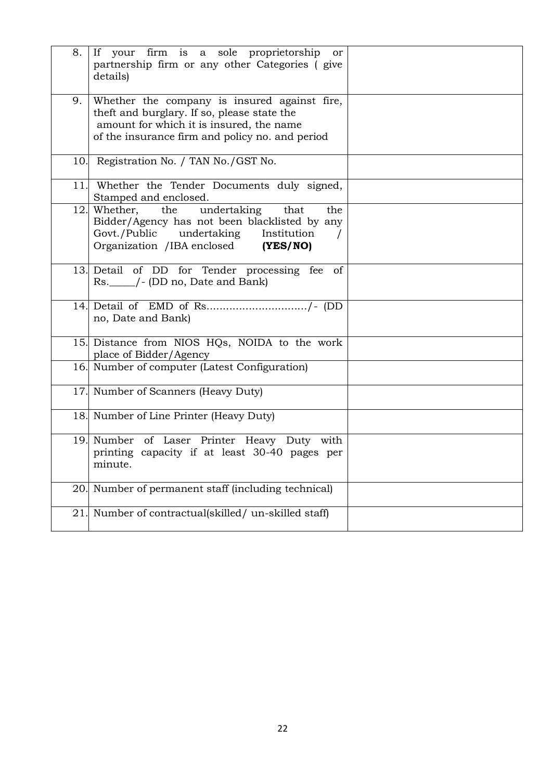| 8.  | If your firm is a sole proprietorship<br>or<br>partnership firm or any other Categories (give<br>details)                                                                                  |  |
|-----|--------------------------------------------------------------------------------------------------------------------------------------------------------------------------------------------|--|
| 9.  | Whether the company is insured against fire,<br>theft and burglary. If so, please state the<br>amount for which it is insured, the name<br>of the insurance firm and policy no. and period |  |
|     | 10. Registration No. / TAN No./GST No.                                                                                                                                                     |  |
| 11. | Whether the Tender Documents duly signed,<br>Stamped and enclosed.                                                                                                                         |  |
|     | the undertaking<br>12. Whether,<br>that<br>the<br>Bidder/Agency has not been blacklisted by any<br>Govt./Public undertaking Institution<br>Organization /IBA enclosed (YES/NO)             |  |
|     | 13. Detail of DD for Tender processing fee of<br>Rs. ______/- (DD no, Date and Bank)                                                                                                       |  |
|     | no, Date and Bank)                                                                                                                                                                         |  |
|     | 15. Distance from NIOS HQs, NOIDA to the work<br>place of Bidder/Agency                                                                                                                    |  |
|     | 16. Number of computer (Latest Configuration)                                                                                                                                              |  |
|     | 17. Number of Scanners (Heavy Duty)                                                                                                                                                        |  |
|     | 18. Number of Line Printer (Heavy Duty)                                                                                                                                                    |  |
|     | 19. Number of Laser Printer Heavy Duty with<br>printing capacity if at least 30-40 pages per<br>minute.                                                                                    |  |
| 20. | Number of permanent staff (including technical)                                                                                                                                            |  |
| 21. | Number of contractual(skilled/ un-skilled staff)                                                                                                                                           |  |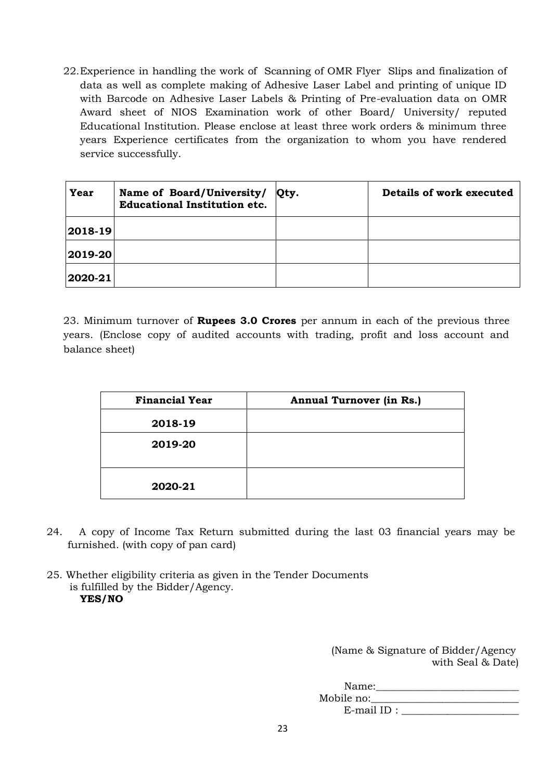22.Experience in handling the work of Scanning of OMR Flyer Slips and finalization of data as well as complete making of Adhesive Laser Label and printing of unique ID with Barcode on Adhesive Laser Labels & Printing of Pre-evaluation data on OMR Award sheet of NIOS Examination work of other Board/ University/ reputed Educational Institution. Please enclose at least three work orders & minimum three years Experience certificates from the organization to whom you have rendered service successfully.

| Year        | Name of Board/University/<br><b>Educational Institution etc.</b> | Qty. | Details of work executed |
|-------------|------------------------------------------------------------------|------|--------------------------|
| $ 2018-19 $ |                                                                  |      |                          |
| $ 2019-20 $ |                                                                  |      |                          |
| 2020-21     |                                                                  |      |                          |

23. Minimum turnover of **Rupees 3.0 Crores** per annum in each of the previous three years. (Enclose copy of audited accounts with trading, profit and loss account and balance sheet)

| <b>Financial Year</b> | <b>Annual Turnover (in Rs.)</b> |
|-----------------------|---------------------------------|
| 2018-19               |                                 |
| 2019-20               |                                 |
| 2020-21               |                                 |

- 24. A copy of Income Tax Return submitted during the last 03 financial years may be furnished. (with copy of pan card)
- 25. Whether eligibility criteria as given in the Tender Documents is fulfilled by the Bidder/Agency. **YES/NO**

(Name & Signature of Bidder/Agency with Seal & Date)

Name:\_\_\_\_\_\_\_\_\_\_\_\_\_\_\_\_\_\_\_\_\_\_\_\_\_\_\_\_

Mobile no:\_\_\_\_\_\_\_\_\_\_\_\_\_\_\_\_\_\_\_\_\_\_\_\_\_\_\_\_\_ E-mail ID : \_\_\_\_\_\_\_\_\_\_\_\_\_\_\_\_\_\_\_\_\_\_\_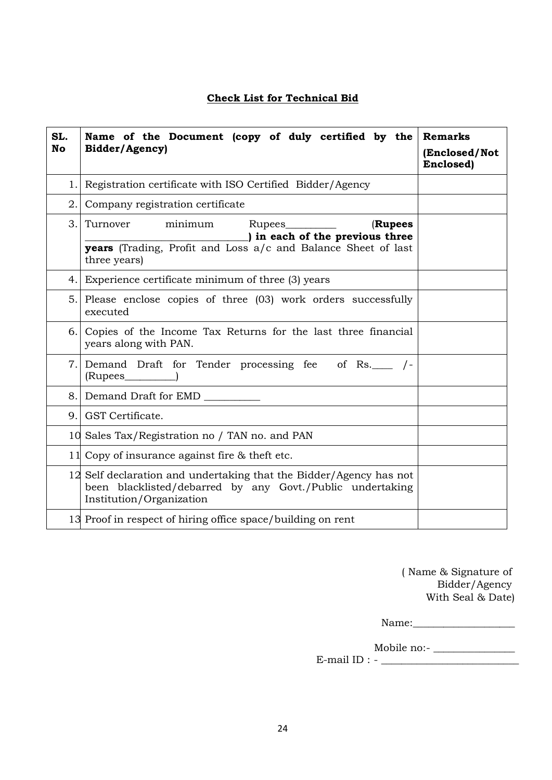# **Check List for Technical Bid**

| SL.<br><b>No</b> | Name of the Document (copy of duly certified by the<br>Bidder/Agency)                                                                                       | <b>Remarks</b><br>(Enclosed/Not<br>Enclosed) |
|------------------|-------------------------------------------------------------------------------------------------------------------------------------------------------------|----------------------------------------------|
| 1.               | Registration certificate with ISO Certified Bidder/Agency                                                                                                   |                                              |
| 2.               | Company registration certificate                                                                                                                            |                                              |
| 3.               | minimum<br>(Rupees<br>Turnover<br>) in each of the previous three<br>years (Trading, Profit and Loss a/c and Balance Sheet of last                          |                                              |
|                  | three years)                                                                                                                                                |                                              |
|                  | 4. Experience certificate minimum of three (3) years                                                                                                        |                                              |
|                  | 5. Please enclose copies of three (03) work orders successfully<br>executed                                                                                 |                                              |
| 6.               | Copies of the Income Tax Returns for the last three financial<br>years along with PAN.                                                                      |                                              |
|                  | 7. Demand Draft for Tender processing fee of Rs. 7-                                                                                                         |                                              |
| 8.1              | Demand Draft for EMD                                                                                                                                        |                                              |
| 9.               | GST Certificate.                                                                                                                                            |                                              |
|                  | 10 Sales Tax/Registration no / TAN no. and PAN                                                                                                              |                                              |
|                  | 11 Copy of insurance against fire & theft etc.                                                                                                              |                                              |
|                  | 12 Self declaration and undertaking that the Bidder/Agency has not<br>been blacklisted/debarred by any Govt./Public undertaking<br>Institution/Organization |                                              |
|                  | 13 Proof in respect of hiring office space/building on rent                                                                                                 |                                              |

( Name & Signature of Bidder/Agency With Seal & Date)

Name:\_\_\_\_\_\_\_\_\_\_\_\_\_\_\_\_\_\_\_\_

Mobile no:- \_\_\_\_\_\_\_\_\_\_\_\_\_\_\_\_ E-mail ID :  $-\frac{1}{\sqrt{2\pi}}$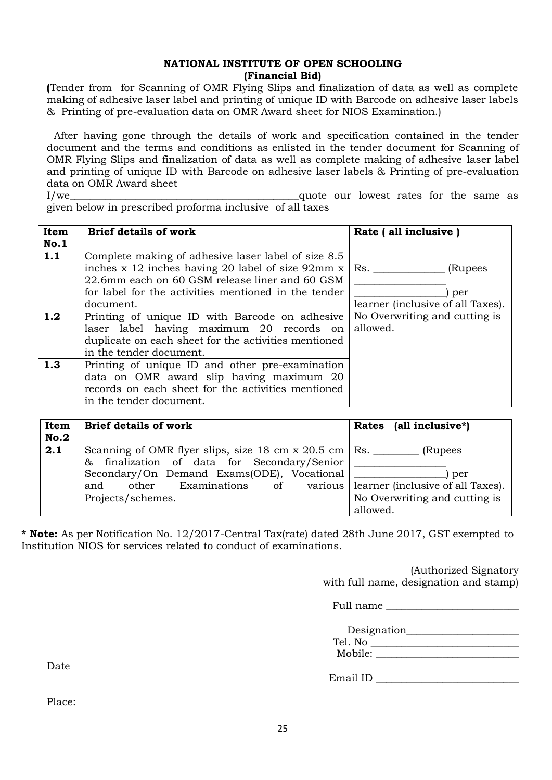### **NATIONAL INSTITUTE OF OPEN SCHOOLING (Financial Bid)**

**(**Tender from for Scanning of OMR Flying Slips and finalization of data as well as complete making of adhesive laser label and printing of unique ID with Barcode on adhesive laser labels & Printing of pre-evaluation data on OMR Award sheet for NIOS Examination.)

After having gone through the details of work and specification contained in the tender document and the terms and conditions as enlisted in the tender document for Scanning of OMR Flying Slips and finalization of data as well as complete making of adhesive laser label and printing of unique ID with Barcode on adhesive laser labels & Printing of pre-evaluation data on OMR Award sheet

I/we\_\_\_\_\_\_\_\_\_\_\_\_\_\_\_\_\_\_\_\_\_\_\_\_\_\_\_\_\_\_\_\_\_\_\_\_\_\_\_\_\_\_\_\_\_quote our lowest rates for the same as given below in prescribed proforma inclusive of all taxes

| Item<br><b>No.1</b> | <b>Brief details of work</b>                                                                                                                                                  | Rate (all inclusive)                      |
|---------------------|-------------------------------------------------------------------------------------------------------------------------------------------------------------------------------|-------------------------------------------|
| 1.1                 | Complete making of adhesive laser label of size 8.5<br>inches x 12 inches having 20 label of size $92 \text{mm} \times$<br>22.6mm each on 60 GSM release liner and 60 GSM     | Rs.<br>(Rupees                            |
|                     | for label for the activities mentioned in the tender<br>document.                                                                                                             | per<br>learner (inclusive of all Taxes).  |
| 1.2                 | Printing of unique ID with Barcode on adhesive<br>laser label having maximum 20 records on<br>duplicate on each sheet for the activities mentioned<br>in the tender document. | No Overwriting and cutting is<br>allowed. |
| 1.3                 | Printing of unique ID and other pre-examination<br>data on OMR award slip having maximum 20<br>records on each sheet for the activities mentioned<br>in the tender document.  |                                           |

| Item<br>No.2 | <b>Brief details of work</b>                                                                                            | Rates (all inclusive*)                    |  |
|--------------|-------------------------------------------------------------------------------------------------------------------------|-------------------------------------------|--|
| 2.1          | Scanning of OMR flyer slips, size 18 cm x 20.5 cm $\vert$ Rs.<br>finalization of data for Secondary/Senior<br>&         | (Rupees)                                  |  |
|              | Secondary/On Demand Exams(ODE), Vocational<br>Examinations of various learner (inclusive of all Taxes).<br>other<br>and | per                                       |  |
|              | Projects/schemes.                                                                                                       | No Overwriting and cutting is<br>allowed. |  |

**\* Note:** As per Notification No. 12/2017-Central Tax(rate) dated 28th June 2017, GST exempted to Institution NIOS for services related to conduct of examinations.

> (Authorized Signatory with full name, designation and stamp)

 $Full name$ 

Designation\_\_\_\_\_\_\_\_\_\_\_\_\_\_\_\_\_\_\_\_\_\_  $T_{\text{e}}1 \text{ N}_{\Omega}$ 

| TCT. 140 |  |  |
|----------|--|--|
| Mobile:  |  |  |

Email ID \_\_\_\_\_\_\_\_\_\_\_\_\_\_\_\_\_\_\_\_\_\_\_\_\_\_\_\_

Date

Place: